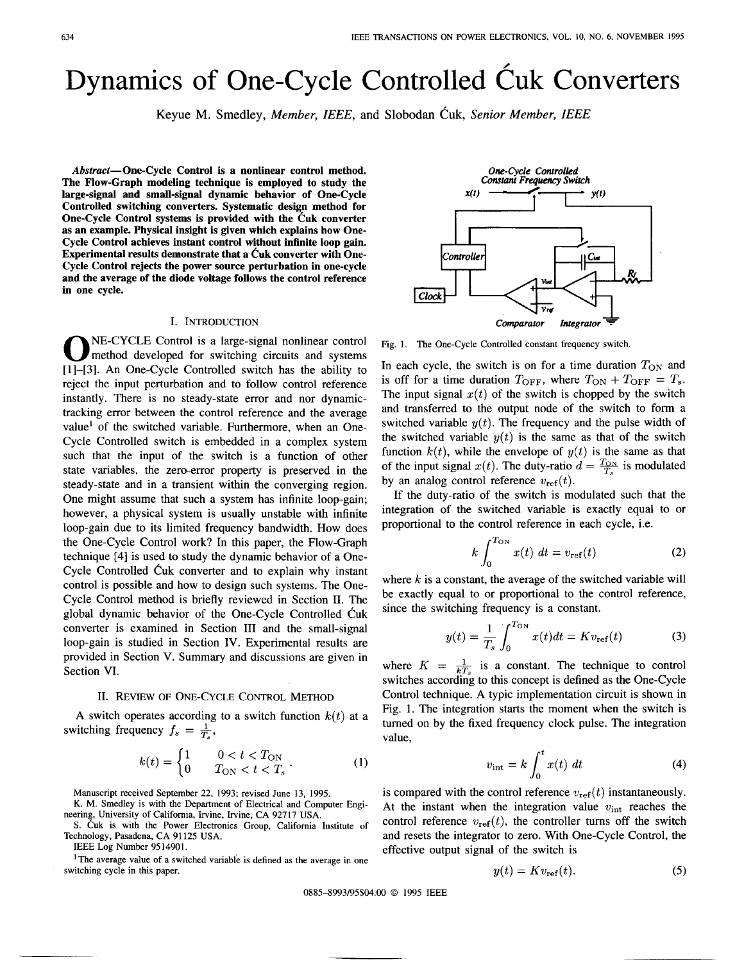# Dynamics of One-Cycle Controlled Cuk Converters

Keyue M. Smedley, *Member, IEEE,*  and Slobodan *Cuk, Senior Member, IEEE* 

**Abstract-One-Cycle Control is a nonlinear control method. The Flow-Graph modeling technique is employed to study the large-signal and small-signal dynamic behavior of One-Cycle Controlled switching converters. Systematic design method for One-Cycle Control systems is provided with the Cuk converter as an example. Physical insight is given which explains how One-Cycle Control achieves instant control without infinite loop gain. Experimental results demonstrate that a Cuk converter with One-Cycle Control rejects the power source perturbation in one-cycle and the average of the diode voltage follows the control reference in one cycle.** 

### I. INTRODUCTION

NE-CYCLE Control is a large-signal nonlinear control **0** method developed for switching circuits and systems [ **1]-[3].** An One-Cycle Controlled switch has the ability to reject the input perturbation and to follow control reference instantly. There is no steady-state error and nor dynamictracking error between the control reference and the average value<sup>1</sup> of the switched variable. Furthermore, when an One-Cycle Controlled switch is embedded in a complex system such that the input of the switch is a function of other state variables, the zero-error property is preserved in the steady-state and in a transient within the converging region. One might assume that such a system has infinite loop-gain; however, a physical system is usually unstable with infinite loop-gain due to its limited frequency bandwidth. How does the One-Cycle Control work? In this paper, the Flow-Graph technique [4] is used to study the dynamic behavior of a One-Cycle Controlled Cuk converter and to explain why instant control is possible and how to design such systems. The One-Cycle Control method is briefly reviewed in Section 11. The global dynamic behavior of the One-Cycle Controlled Cuk converter is examined in Section III and the small-signal loop-gain is studied in Section IV. Experimental results are provided in Section V. Summary and discussions are given in Section VI.

#### 11. REVIEW OF ONE-CYCLE CONTROL METHOD

A switch operates according to a switch function  $k(t)$  at a switching frequency  $f_s = \frac{1}{T}$ ,

$$
k(t) = \begin{cases} 1 & 0 < t < T_{\text{ON}} \\ 0 & T_{\text{ON}} < t < T_s \end{cases} .
$$
 (1)

Manuscript received September 22, 1993; revised June 13, 1995.

K. M. Smedley is with the Department of Electrical and Computer Engineering, University of Califomia, Irvine, Irvine, CA 92717 USA.

**S.** Cuk is with the Power Electronics Group, Califomia Institute of Technology, Pasadena, CA 91 125 USA.

IEEE Log Number 9514901.<br><sup>1</sup> The average value of a switched variable is defined as the average in one switching cycle in this paper.



Fig. 1. The One-Cycle Controlled constant frequency switch.

In each cycle, the switch is on for a time duration  $T_{ON}$  and is off for a time duration  $T_{\text{OFF}}$ , where  $T_{\text{ON}} + T_{\text{OFF}} = T_s$ . The input signal  $x(t)$  of the switch is chopped by the switch and transferred to the output node of the switch to form a switched variable  $y(t)$ . The frequency and the pulse width of the switched variable  $y(t)$  is the same as that of the switch function  $k(t)$ , while the envelope of  $y(t)$  is the same as that of the input signal  $x(t)$ . The duty-ratio  $d = \frac{T_{ON}}{T_c}$  is modulated by an analog control reference  $v_{ref}(t)$ .

**If** the duty-ratio of the switch is modulated such that the integration of the switched variable is exactly equal to or proportional to the control reference in each cycle, i.e.

$$
k \int_0^{T_{\rm ON}} x(t) \ dt = v_{\rm ref}(t) \tag{2}
$$

where *k* is a constant, the average of the switched variable will be exactly equal to or proportional to the control reference, since the switching frequency is a constant.

$$
y(t) = \frac{1}{T_s} \int_0^{T_{ON}} x(t)dt = K v_{\text{ref}}(t)
$$
 (3)

where  $K = \frac{1}{kT_s}$  is a constant. The technique to control switches according to this concept is defined as the One-Cycle Control technique. **A** typic implementation circuit is shown in Fig. 1. The integration starts the moment when the switch is turned on by the fixed frequency clock pulse. The integration value,

$$
v_{\rm int} = k \int_0^t x(t) \ dt \tag{4}
$$

is compared with the control reference  $v_{ref}(t)$  instantaneously. At the instant when the integration value  $v_{\text{int}}$  reaches the control reference  $v_{ref}(t)$ , the controller turns off the switch and resets the integrator to zero. With One-Cycle Control, the effective output signal of the switch is

$$
y(t) = Kv_{ref}(t). \tag{5}
$$

0885-8993/95\$04.00 *0* 1995 IEEE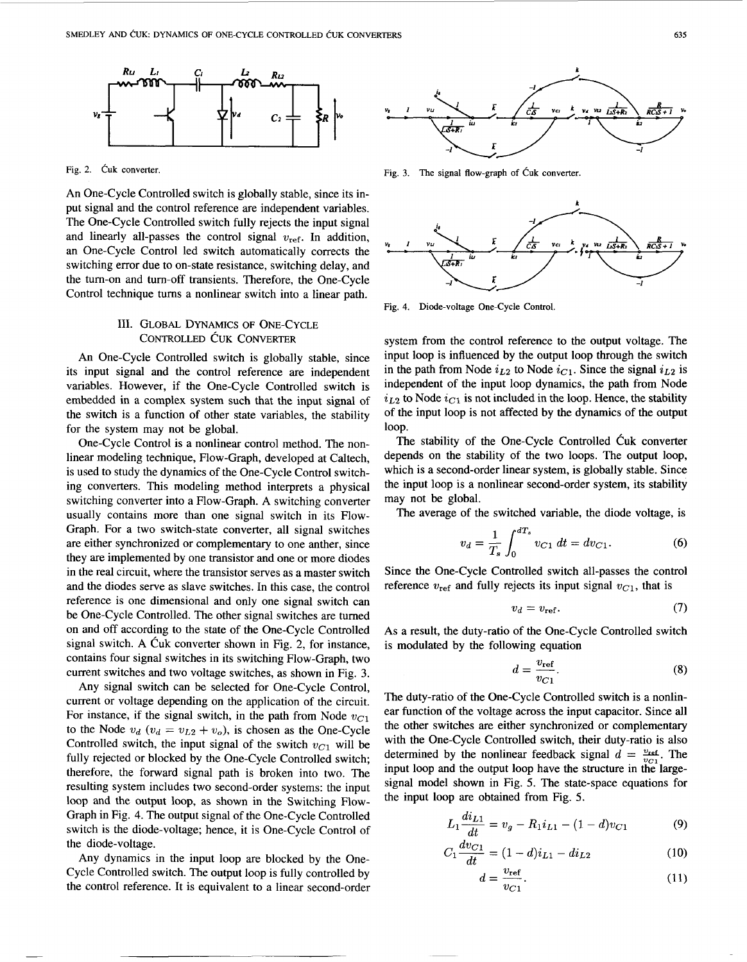

Fig. 2. **Cuk** converter.

An One-Cycle Controlled switch is globally stable, since its input signal and the control reference are independent variables. The One-Cycle Controlled switch fully rejects the input signal and linearly all-passes the control signal  $v_{ref}$ . In addition, an One-Cycle Control led switch automatically corrects the switching error due to on-state resistance, switching delay, and the turn-on and turn-off transients. Therefore, the One-Cycle Control technique turns a nonlinear switch into a linear path.

## 111. GLOBAL DYNAMICS **OF** ONE-CYCLE CONTROLLED **CUK** CONVERTER

An One-Cycle Controlled switch is globally stable, since its input signal and the control reference are independent variables. However, if the One-Cycle Controlled switch is embedded in a complex system such that the input signal of the switch is a function of other state variables, the stability for the system may not be global.

One-Cycle Control is a nonlinear control method. The nonlinear modeling technique, Flow-Graph, developed at Caltech, is used to study the dynamics of the One-Cycle Control switching converters. This modeling method interprets a physical switching converter into a Flow-Graph. **A** switching converter usually contains more than one signal switch in its Flow-Graph. For a two switch-state converter, all signal switches are either synchronized or complementary to one anther, since they are implemented by one transistor and one or more diodes in the real circuit, where the transistor serves as a master switch and the diodes serve as slave switches. In this case, the control reference is one dimensional and only one signal switch can be One-Cycle Controlled. The other signal switches are turned on and off according to the state of the One-Cycle Controlled signal switch. **A** Cuk converter shown in Fig. 2, for instance, contains four signal switches in its switching Flow-Graph, two current switches and two voltage switches, as shown in Fig. **3.** 

Any signal switch can be selected for One-Cycle Control, current or voltage depending on the application of the circuit. For instance, if the signal switch, in the path from Node  $v_{C1}$ to the Node  $v_d$  ( $v_d = v_{L2} + v_o$ ), is chosen as the One-Cycle Controlled switch, the input signal of the switch  $v_{C1}$  will be fully rejected or blocked by the One-Cycle Controlled switch; therefore, the forward signal path is broken into two. The resulting system includes two second-order systems: the input loop and the output loop, as shown in the Switching Flow-Graph in Fig. 4. The output signal of the One-Cycle Controlled switch is the diode-voltage; hence, it is One-Cycle Control of the diode-voltage.

Any dynamics in the input loop are blocked by the One-Cycle Controlled switch. The output loop is fully controlled by the control reference. It is equivalent to a linear second-order



Fig. **3.** The signal flow-graph of **Cuk** converter.



Fig. **4.** Diode-voltage One-Cycle Control.

system from the control reference to the output voltage. The input loop is influenced by the output loop through the switch in the path from Node  $i_{L2}$  to Node  $i_{C1}$ . Since the signal  $i_{L2}$  is independent of the input loop dynamics, the path from Node  $i_{L2}$  to Node  $i_{C1}$  is not included in the loop. Hence, the stability of the input loop is not affected by the dynamics of the output loop.

The stability of the One-Cycle Controlled Cuk converter depends on the stability of the two loops. The output loop, which is a second-order linear system, is globally stable. Since the input loop is a nonlinear second-order system, its stability may not be global.

The average of the switched variable, the diode voltage, is  
\n
$$
v_d = \frac{1}{T_s} \int_0^{dT_s} v_{C1} dt = dv_{C1}.
$$
\n(6)

Since the One-Cycle Controlled switch all-passes the control reference  $v_{ref}$  and fully rejects its input signal  $v_{C1}$ , that is

$$
v_d = v_{\text{ref}}.\tag{7}
$$

As a result, the duty-ratio of the One-Cycle Controlled switch is modulated by the following equation<br>  $d = \frac{v_{\text{ref}}}{r}$ .

$$
d = \frac{v_{\text{ref}}}{v_{C1}}.\tag{8}
$$

The duty-ratio of the One-Cycle Controlled switch is a nonlinear function of the voltage across the input capacitor. Since all the other switches are either synchronized or complementary with the One-Cycle Controlled switch, their duty-ratio is also determined by the nonlinear feedback signal  $d = \frac{v_{\text{ref}}}{v_{\text{ref}}}.$  The input loop and the output loop have the structure in the largesignal model shown in [Fig.](#page-2-0) *5.* The state-space equations for the input loop are obtained from [Fig.](#page-2-0) *5.* 

$$
L_1 \frac{di_{L1}}{dt} = v_g - R_1 i_{L1} - (1 - d)v_{C1}
$$
 (9)

$$
C_1 \frac{dv_{C1}}{dt} = (1 - d)i_{L1} - di_{L2}
$$
 (10)

$$
d = \frac{v_{\text{ref}}}{v_{C1}}.\tag{11}
$$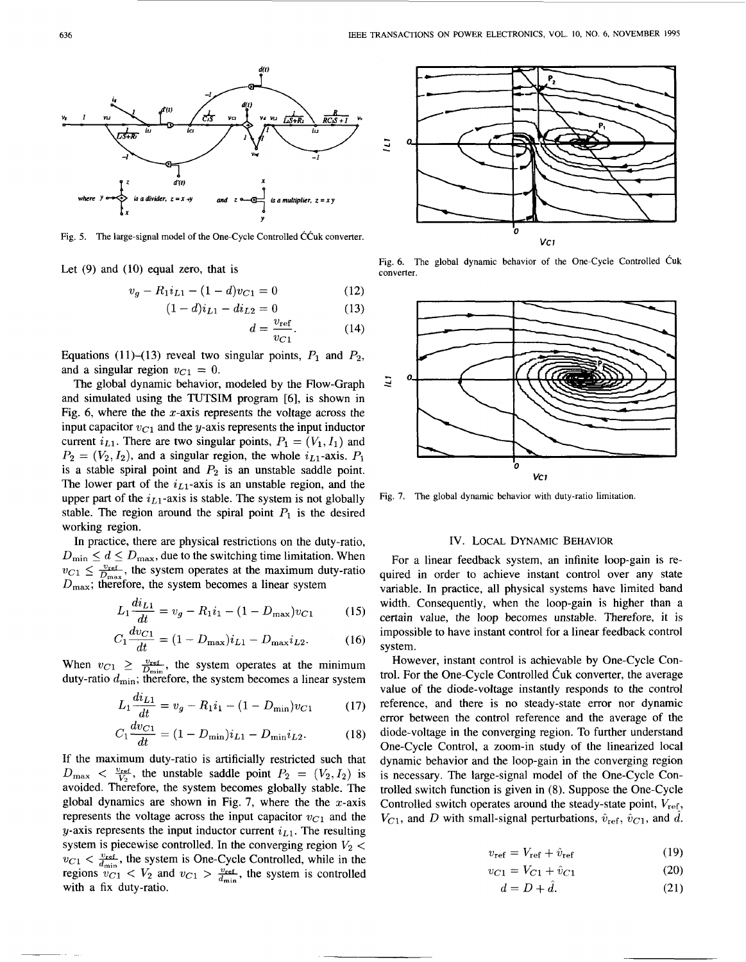<span id="page-2-0"></span>

Fig. 5. The large-signal model of the One-Cycle Controlled CCuk converter.

Let  $(9)$  and  $(10)$  equal zero, that is  $\frac{175}{60}$  converter.

$$
v_g - R_1 i_{L1} - (1 - d)v_{C1} = 0 \tag{12}
$$

$$
(1-d)i_{L1} - di_{L2} = 0 \t(13)
$$

$$
d = \frac{v_{\text{ref}}}{v_{C1}}.\tag{14}
$$

Equations (11)–(13) reveal two singular points,  $P_1$  and  $P_2$ , and a singular region  $v_{C1} = 0$ .

The global dynamic behavior, modeled by the Flow-Graph and simulated using the **TUTSIM** program **[6],** is shown in Fig. **6,** where the the z-axis represents the voltage across the input capacitor  $v_{C1}$  and the y-axis represents the input inductor current  $i_{L1}$ . There are two singular points,  $P_1 = (V_1, I_1)$  and  $P_2 = (V_2, I_2)$ , and a singular region, the whole  $i_{L1}$ -axis.  $P_1$ is a stable spiral point and  $P_2$  is an unstable saddle point. The lower part of the  $i_{L1}$ -axis is an unstable region, and the upper part of the  $i_{L1}$ -axis is stable. The system is not globally stable. The region around the spiral point  $P_1$  is the desired working region.

In practice, there are physical restrictions on the duty-ratio,  $D_{\min} \le d \le D_{\max}$ , due to the switching time limitation. When  $v_{C1} \leq \frac{v_{\text{ref}}}{D_{\text{max}}}$ , the system operates at the maximum duty-ratio  $D_{\text{max}}$ ; therefore, the system becomes a linear system

$$
L_1 \frac{di_{L1}}{dt} = v_g - R_1 i_1 - (1 - D_{\text{max}}) v_{C1}
$$
 (15)

$$
C_1 \frac{dv_{C1}}{dt} = (1 - D_{\text{max}})i_{L1} - D_{\text{max}}i_{L2}.
$$
 (16)

When  $v_{C1} \ge \frac{v_{\text{ref}}}{D_{\min}}$ , the system operates at the minimum duty-ratio *dmin;* therefore, the system becomes a linear system

$$
L_1 \frac{di_{L1}}{dt} = v_g - R_1 i_1 - (1 - D_{\min})v_{C1}
$$
 (17)

$$
C_1 \frac{dv_{C1}}{dt} = (1 - D_{\min})i_{L1} - D_{\min}i_{L2}.
$$
 (18)

If the maximum duty-ratio is artificially restricted such that  $D_{\text{max}} < \frac{v_{\text{ref}}}{V_2}$ , the unstable saddle point  $P_2 = (V_2, I_2)$  is avoided. Therefore, the system becomes globally stable. The global dynamics are shown in Fig. 7, where the the  $x$ -axis represents the voltage across the input capacitor  $v_{C1}$  and the  $y$ -axis represents the input inductor current  $i_{L1}$ . The resulting system is piecewise controlled. In the converging region  $V_2$  < system is piecewise controlled. In the converging region  $V_2 < v_{C1} < \frac{v_{\text{ref}}}{v_{\text{min}}}$ , the system is One-Cycle Controlled, while in the  $w_{C1} < \frac{v_{\text{ref}}}{d_{\min}}$ , the system is One-Cycle Controlled, while in the regions  $v_{C1} < V_2$  and  $v_{C1} > \frac{v_{\text{ref}}}{d_{\min}}$ , the system is controlled with a fix duty-ratio.



Fig. 6. The global dynamic behavior of the One-Cycle Controlled Ćuk



Fig. 7. **The** global dynamic behavior with duty-ratio limitation.

#### IV. LOCAL **DYNAMIC BEHAVIOR**

For a linear feedback system, an infinite loop-gain is required in order to achieve instant control over any state variable. In practice, all physical systems have limited band width. Consequently, when the loop-gain is higher than a certain value, the loop becomes unstable. Therefore, it is impossible to have instant control for a linear feedback control system.

However, instant control is achievable by One-Cycle Control. For the One-Cycle Controlled Cuk converter, the average value of the diode-voltage instantly responds to the control reference, and there is no steady-state error nor dynamic error between the control reference and the average of the diode-voltage in the converging region. To further understand One-Cycle Control, a zoom-in study of the linearized local dynamic behavior and the loop-gain in the converging region is necessary. The large-signal model of the One-Cycle Controlled switch function is given in (8). Suppose the One-Cycle Controlled switch operates around the steady-state point, *Vref,*   $V_{C1}$ , and *D* with small-signal perturbations,  $\hat{v}_{ref}$ ,  $\hat{v}_{C1}$ , and *d.* 

$$
v_{\rm ref} = V_{\rm ref} + \hat{v}_{\rm ref} \tag{19}
$$

$$
v_{C1} = V_{C1} + \hat{v}_{C1} \tag{20}
$$

$$
d = D + \hat{d}.\tag{21}
$$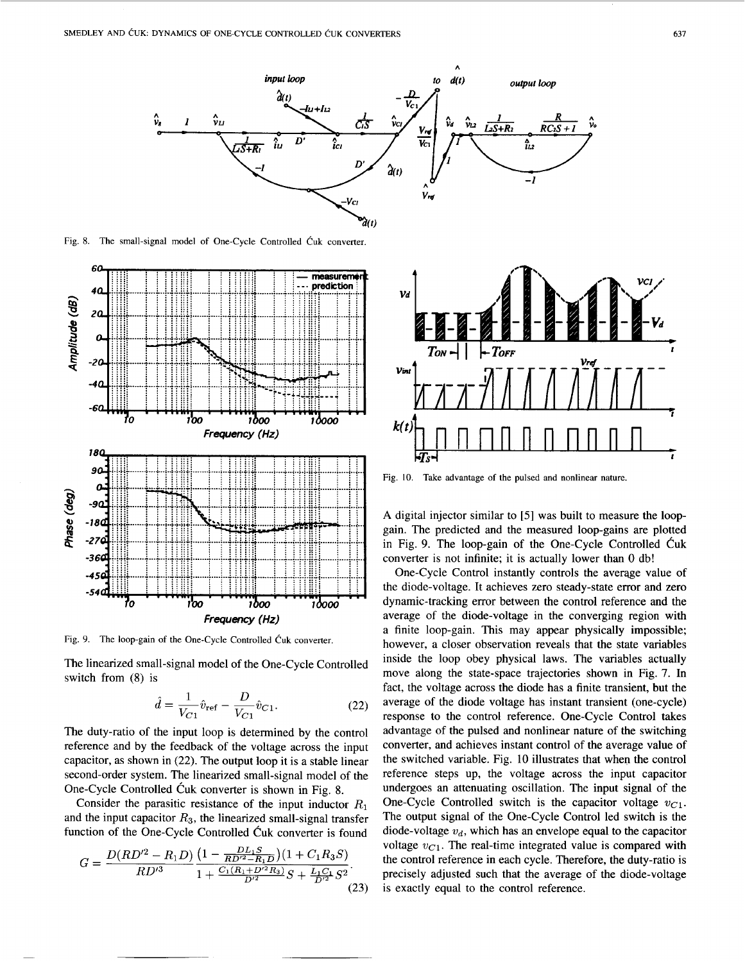

Fig. 8. The small-signal model **of** One-Cycle Controlled **Cuk** converter.



Fig. 9. The loop-gain **of** the One-Cycle Controlled **Cuk** converter.

The linearized small-signal model of the One-Cycle Controlled switch from **(8)** is

$$
\hat{d} = \frac{1}{V_{C1}} \hat{v}_{\text{ref}} - \frac{D}{V_{C1}} \hat{v}_{C1}.
$$
 (22)

The duty-ratio of the input loop is determined by the control reference and by the feedback of the voltage across the input capacitor, as shown in *(22).* The output loop it is a stable linear second-order system. The linearized small-signal model of the One-Cycle Controlled Cuk converter is shown in Fig. **8.** 

Consider the parasitic resistance of the input inductor  $R_1$ and the input capacitor  $R_3$ , the linearized small-signal transfer function of the One-Cycle Controlled Cuk converter is found

$$
G = \frac{D(RD^{\prime 2} - R_1D)}{RD^{\prime 3}} \frac{\left(1 - \frac{DL_1S}{RD^{\prime 2} - R_1D}\right)\left(1 + C_1R_3S\right)}{1 + \frac{C_1(R_1 + D^{\prime 2}R_3)}{D^{\prime 2}}S + \frac{L_1C_1}{D^{\prime 2}}S^2}.
$$
\n(23)



Fig. IO. Take advantage **of the** pulsed and nonlinear nature.

**A** digital injector similar to [5] was built to measure the loopgain. The predicted and the measured loop-gains are plotted in Fig. **9.** The loop-gain of the One-Cycle Controlled Cuk converter is not infinite; it is actually lower than 0 db!

One-Cycle Control instantly controls the average value of the diode-voltage. It achieves zero steady-state error and zero dynamic-tracking error between the control reference and the average of the diode-voltage in the converging region with a finite loop-gain. This may appear physically impossible; however, a closer observation reveals that the state variables inside the loop obey physical laws. The variables actually move along the state-space trajectories shown in [Fig. 7.](#page-2-0) In fact, the voltage across the diode has a finite transient, but the average of the diode voltage has instant transient (one-cycle) response to the control reference. One-Cycle Control takes advantage of the pulsed and nonlinear nature of the switching converter, and achieves instant control of the average value of the switched variable. Fig. 10 illustrates that when the control reference steps up, the voltage across the input capacitor undergoes an attenuating oscillation. The input signal of the One-Cycle Controlled switch is the capacitor voltage  $v_{C1}$ . The output signal of the One-Cycle Control led switch is the diode-voltage *wd,* which has an envelope equal to the capacitor voltage  $v_{C1}$ . The real-time integrated value is compared with the control reference in each cycle. Therefore, the duty-ratio is precisely adjusted such that the average of the diode-voltage is exactly equal to the control reference.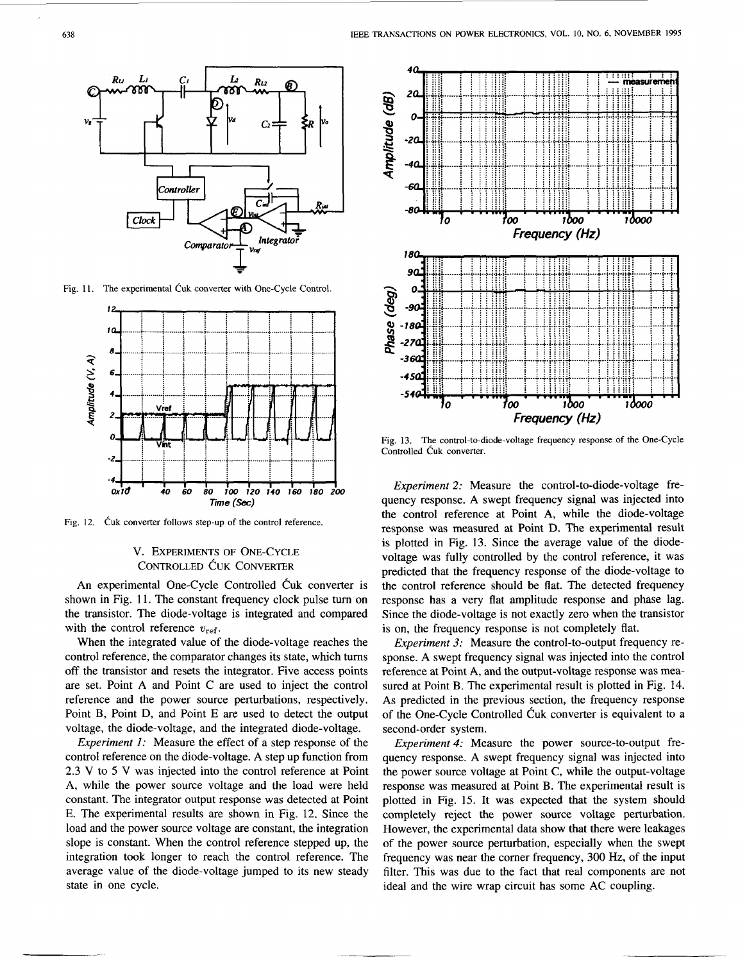

**Fig.** 11. The experimental Cuk converter **with** One-Cycle Control.



**Fig. 12.** Cuk converter follows step-up of the control reference.

# v. EXPERIMENTS **OF** ONE-CYCLE CONTROLLED CUK CONVERTER

An experimental One-Cycle Controlled Ćuk converter is shown in Fig. 11. The constant frequency clock pulse turn on the transistor. The diode-voltage is integrated and compared with the control reference  $v_{ref}$ .

When the integrated value of the diode-voltage reaches the control reference, the comparator changes its state, which turns off the transistor and resets the integrator. Five access points are set. Point A and Point C are used to inject the control reference and the power source perturbations, respectively. Point B, Point D, and Point E are used to detect the output voltage, the diode-voltage, and the integrated diode-voltage.

*Experiment I:* Measure the effect of a step response of the control reference on the diode-voltage. A step up function from 2.3 V to 5 V was injected into the control reference at Point A, while the power source voltage and the load were held constant. The integrator output response was detected at Point E. The experimental results are shown in Fig. 12. Since the load and the power source voltage are constant, the integration slope **is** constant. When the control reference stepped up, the integration took longer to reach the control reference. The average value of the diode-voltage jumped to its new steady state in one cycle.



Fig. 13. The control-to-diode-voltage frequency response of the One-Cycle Controlled Cuk converter.

*Experiment 2:* Measure the control-to-diode-voltage frequency response. A swept frequency signal was injected into the control reference at Point A, while the diode-voltage response was measured at Point D. The experimental result is plotted in Fig. 13. Since the average value of the diodevoltage was fully controlled by the control reference, it was predicted that the frequency response of the diode-voltage to the control reference should be flat. The detected frequency response has a very flat amplitude response and phase lag. Since the diode-voltage is not exactly zero when the transistor is on, the frequency response is not completely flat.

*Experiment 3:* Measure the control-to-output frequency response. A swept frequency signal was injected into the control reference at Point A, and the output-voltage response was measured at Point **B.** The experimental result is plotted in Fig. 14. As predicted in the previous section, the frequency response of the One-Cycle Controlled Cuk converter is equivalent to a second-order system.

*Experiment 4:* Measure the power source-to-output frequency response. A swept frequency signal was injected into the power source voltage at Point C, while the output-voltage response was measured at Point **B.** The experimental result is plotted in Fig. 15. It was expected that the system should completely reject the power source voltage perturbation. However, the experimental data show that there were leakages of the power source perturbation, especially when the swept frequency was near the comer frequency, 300 Hz, of the input filter. This was due to the fact that real components are not ideal and the wire wrap circuit has some AC coupling.